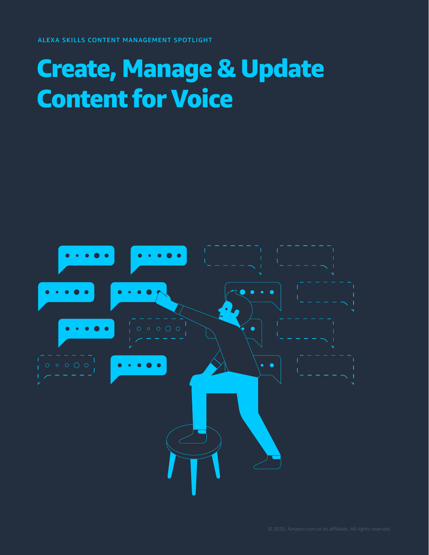### Create, Manage & Update Content for Voice

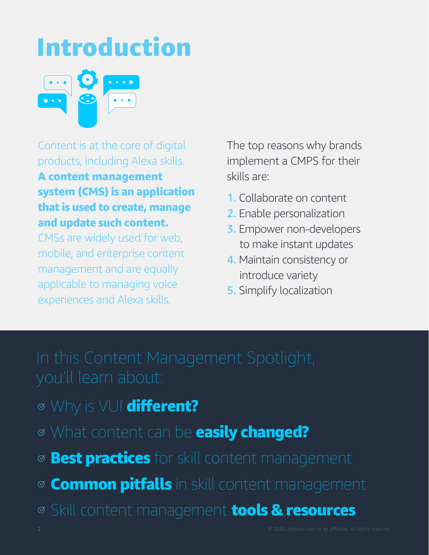# Introduction



Content is at the core of digital products, including Alexa skills.

### A content management system (CMS) is an application that is used to create, manage and update such content.

CMSs are widely used for web, mobile, and enterprise content management and are equally applicable to managing voice experiences and Alexa skills.

The top reasons why brands implement a CMPS for their skills are:

- 1. Collaborate on content
- 2. Enable personalization
- 3. Empower non-developers to make instant updates
- 4. Maintain consistency or introduce variety
- **5.** Simplify localization

- ⊗ Why is VUI different?
- What content can be easily changed?
- **<sup>⊗</sup> Best practices** for skill content management
- **Common pitfalls** in skill content management
- Skill content management tools & resources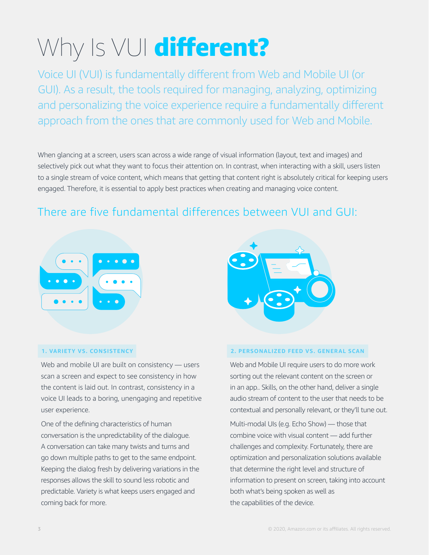# Why Is VUI different?

Voice UI (VUI) is fundamentally different from Web and Mobile UI (or GUI). As a result, the tools required for managing, analyzing, optimizing and personalizing the voice experience require a fundamentally different approach from the ones that are commonly used for Web and Mobile.

When glancing at a screen, users scan across a wide range of visual information (layout, text and images) and selectively pick out what they want to focus their attention on. In contrast, when interacting with a skill, users listen to a single stream of voice content, which means that getting that content right is absolutely critical for keeping users engaged. Therefore, it is essential to apply best practices when creating and managing voice content.

### There are five fundamental differences between VUI and GUI:



#### **1. VARIETY VS. CONSISTENCY**

Web and mobile UI are built on consistency - users scan a screen and expect to see consistency in how the content is laid out. In contrast, consistency in a voice UI leads to a boring, unengaging and repetitive user experience.

One of the defining characteristics of human conversation is the unpredictability of the dialogue. A conversation can take many twists and turns and go down multiple paths to get to the same endpoint. Keeping the dialog fresh by delivering variations in the responses allows the skill to sound less robotic and predictable. Variety is what keeps users engaged and coming back for more.



### **2. PERSONALIZED FEED VS. GENERAL SCAN**

Web and Mobile UI require users to do more work sorting out the relevant content on the screen or in an app.. Skills, on the other hand, deliver a single audio stream of content to the user that needs to be contextual and personally relevant, or they'll tune out.

Multi-modal UIs (e.g. Echo Show) — those that combine voice with visual content — add further challenges and complexity. Fortunately, there are optimization and personalization solutions available that determine the right level and structure of information to present on screen, taking into account both what's being spoken as well as the capabilities of the device.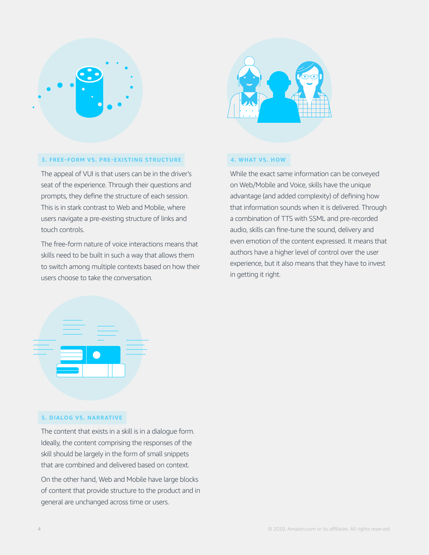



#### **3. FREE-FORM VS. PRE-EXISTING STRUCTURE**

The appeal of VUI is that users can be in the driver's seat of the experience. Through their questions and prompts, they define the structure of each session. This is in stark contrast to Web and Mobile, where users navigate a pre-existing structure of links and touch controls.

The free-form nature of voice interactions means that skills need to be built in such a way that allows them to switch among multiple contexts based on how their users choose to take the conversation.

#### **4. WHAT VS. HOW**

While the exact same information can be conveyed on Web/Mobile and Voice, skills have the unique advantage (and added complexity) of defining how that information sounds when it is delivered. Through a combination of TTS with SSML and pre-recorded audio, skills can fine-tune the sound, delivery and even emotion of the content expressed. It means that authors have a higher level of control over the user experience, but it also means that they have to invest in getting it right.



#### **5. DIALOG VS. NARRATIVE**

The content that exists in a skill is in a dialogue form. Ideally, the content comprising the responses of the skill should be largely in the form of small snippets that are combined and delivered based on context.

On the other hand, Web and Mobile have large blocks of content that provide structure to the product and in general are unchanged across time or users.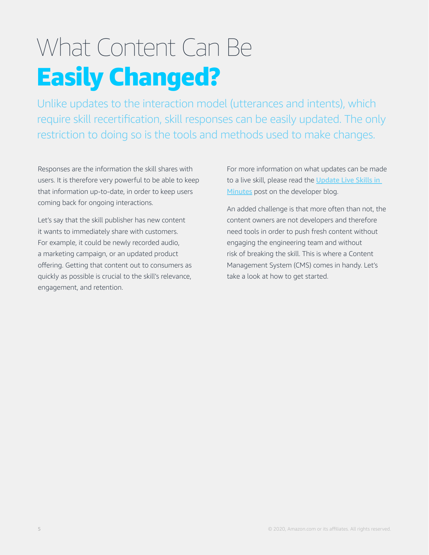### What Content Can Be Easily Changed?

Unlike updates to the interaction model (utterances and intents), which require skill recertification, skill responses can be easily updated. The only restriction to doing so is the tools and methods used to make changes.

Responses are the information the skill shares with users. It is therefore very powerful to be able to keep that information up-to-date, in order to keep users coming back for ongoing interactions.

Let's say that the skill publisher has new content it wants to immediately share with customers. For example, it could be newly recorded audio, a marketing campaign, or an updated product offering. Getting that content out to consumers as quickly as possible is crucial to the skill's relevance, engagement, and retention.

For more information on what updates can be made to a live skill, please read the Update Live Skills in [Minutes](https://developer.amazon.com/en-US/blogs/alexa/alexa-skills-kit/2020/01/update-live-skills-in-minutes) post on the developer blog.

An added challenge is that more often than not, the content owners are not developers and therefore need tools in order to push fresh content without engaging the engineering team and without risk of breaking the skill. This is where a Content Management System (CMS) comes in handy. Let's take a look at how to get started.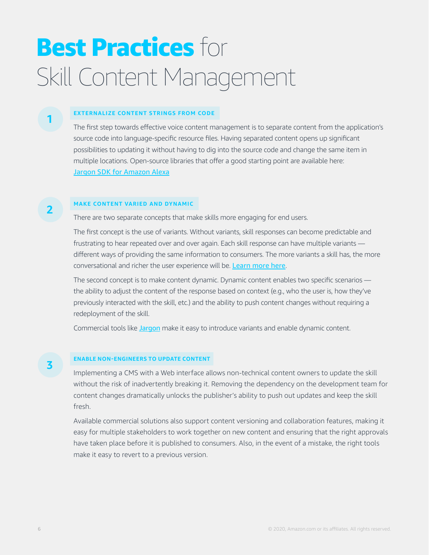### **Best Practices for** Skill Content Management

#### **EXTERNALIZE CONTENT STRINGS FROM CODE**

The first step towards effective voice content management is to separate content from the application's source code into language-specific resource files. Having separated content opens up significant possibilities to updating it without having to dig into the source code and change the same item in multiple locations. Open-source libraries that offer a good starting point are available here: [Jargon SDK for Amazon Alexa](https://jargon.com/)

#### **MAKE CONTENT VARIED AND DYNAMIC**

There are two separate concepts that make skills more engaging for end users.

The first concept is the use of variants. Without variants, skill responses can become predictable and frustrating to hear repeated over and over again. Each skill response can have multiple variants different ways of providing the same information to consumers. The more variants a skill has, the more conversational and richer the user experience will be. [Learn more here](https://developer.amazon.com/blogs/alexa/post/37e732b7-48fa-4940-9f12-9ffde7eeeaf8/alexa-skill-recipe-randomize-your-responses-to-add-variety-to-your-skill).

The second concept is to make content dynamic. Dynamic content enables two specific scenarios the ability to adjust the content of the response based on context (e.g., who the user is, how they've previously interacted with the skill, etc.) and the ability to push content changes without requiring a redeployment of the skill.

Commercial tools like [Jargon](http://www.jargon.com) make it easy to introduce variants and enable dynamic content.

#### **ENABLE NON-ENGINEERS TO UPDATE CONTENT**

Implementing a CMS with a Web interface allows non-technical content owners to update the skill without the risk of inadvertently breaking it. Removing the dependency on the development team for content changes dramatically unlocks the publisher's ability to push out updates and keep the skill fresh.

Available commercial solutions also support content versioning and collaboration features, making it easy for multiple stakeholders to work together on new content and ensuring that the right approvals have taken place before it is published to consumers. Also, in the event of a mistake, the right tools make it easy to revert to a previous version.

**2**

**3**

**1**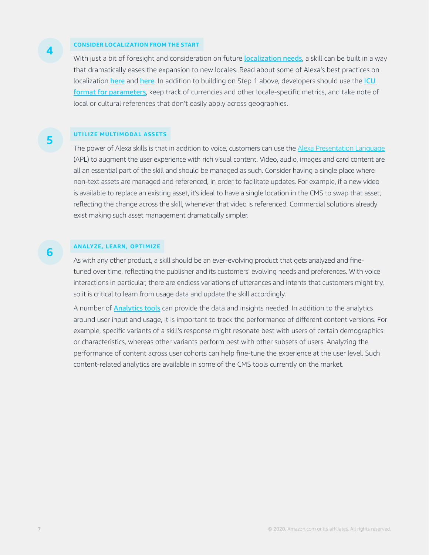#### **CONSIDER LOCALIZATION FROM THE START**

With just a bit of foresight and consideration on future [localization needs](https://developer.amazon.com/en-US/docs/alexa/alexa-design/internationalization.html), a skill can be built in a way that dramatically eases the expansion to new locales. Read about some of Alexa's best practices on localization [here](https://developer.amazon.com/blogs/alexa/post/285a6778-0ed0-4467-a602-d9893eae34d7/how-to-localize-your-alexa-skills) and here. In addition to building on Step 1 above, developers should use the ICU [format for parameters](http://userguide.icu-project.org), keep track of currencies and other locale-specific metrics, and take note of local or cultural references that don't easily apply across geographies.

#### **UTILIZE MULTIMODAL ASSETS**

The power of Alexa skills is that in addition to voice, customers can use the [Alexa Presentation Language](https://developer.amazon.com/en-US/docs/alexa/alexa-design/apl.html) (APL) to augment the user experience with rich visual content. Video, audio, images and card content are all an essential part of the skill and should be managed as such. Consider having a single place where non-text assets are managed and referenced, in order to facilitate updates. For example, if a new video is available to replace an existing asset, it's ideal to have a single location in the CMS to swap that asset, reflecting the change across the skill, whenever that video is referenced. Commercial solutions already exist making such asset management dramatically simpler.

#### **ANALYZE, LEARN, OPTIMIZE**

As with any other product, a skill should be an ever-evolving product that gets analyzed and finetuned over time, reflecting the publisher and its customers' evolving needs and preferences. With voice interactions in particular, there are endless variations of utterances and intents that customers might try, so it is critical to learn from usage data and update the skill accordingly.

A number of **[Analytics tools](https://developer.amazon.com/en-US/alexa/agencies-and-tools/tools-analytics)** can provide the data and insights needed. In addition to the analytics around user input and usage, it is important to track the performance of different content versions. For example, specific variants of a skill's response might resonate best with users of certain demographics or characteristics, whereas other variants perform best with other subsets of users. Analyzing the performance of content across user cohorts can help fine-tune the experience at the user level. Such content-related analytics are available in some of the CMS tools currently on the market.

**5**

**4**

**6**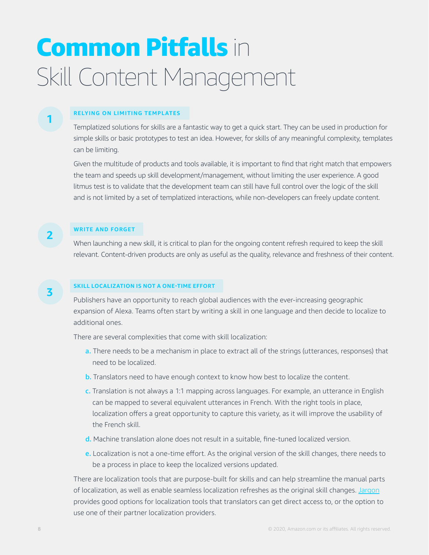### Common Pitfalls in Skill Content Management

#### **RELYING ON LIMITING TEMPLATES**

Templatized solutions for skills are a fantastic way to get a quick start. They can be used in production for simple skills or basic prototypes to test an idea. However, for skills of any meaningful complexity, templates can be limiting.

Given the multitude of products and tools available, it is important to find that right match that empowers the team and speeds up skill development/management, without limiting the user experience. A good litmus test is to validate that the development team can still have full control over the logic of the skill and is not limited by a set of templatized interactions, while non-developers can freely update content.

#### **WRITE AND FORGET**

When launching a new skill, it is critical to plan for the ongoing content refresh required to keep the skill relevant. Content-driven products are only as useful as the quality, relevance and freshness of their content.

#### **SKILL LOCALIZATION IS NOT A ONE-TIME EFFORT**

Publishers have an opportunity to reach global audiences with the ever-increasing geographic expansion of Alexa. Teams often start by writing a skill in one language and then decide to localize to additional ones.

There are several complexities that come with skill localization:

- a. There needs to be a mechanism in place to extract all of the strings (utterances, responses) that need to be localized.
- b. Translators need to have enough context to know how best to localize the content.
- c. Translation is not always a 1:1 mapping across languages. For example, an utterance in English can be mapped to several equivalent utterances in French. With the right tools in place, localization offers a great opportunity to capture this variety, as it will improve the usability of the French skill.
- d. Machine translation alone does not result in a suitable, fine-tuned localized version.
- e. Localization is not a one-time effort. As the original version of the skill changes, there needs to be a process in place to keep the localized versions updated.

There are localization tools that are purpose-built for skills and can help streamline the manual parts of localization, as well as enable seamless localization refreshes as the original skill changes. [Jargon](https://jargon.com/) provides good options for localization tools that translators can get direct access to, or the option to use one of their partner localization providers.

**1**

**3**